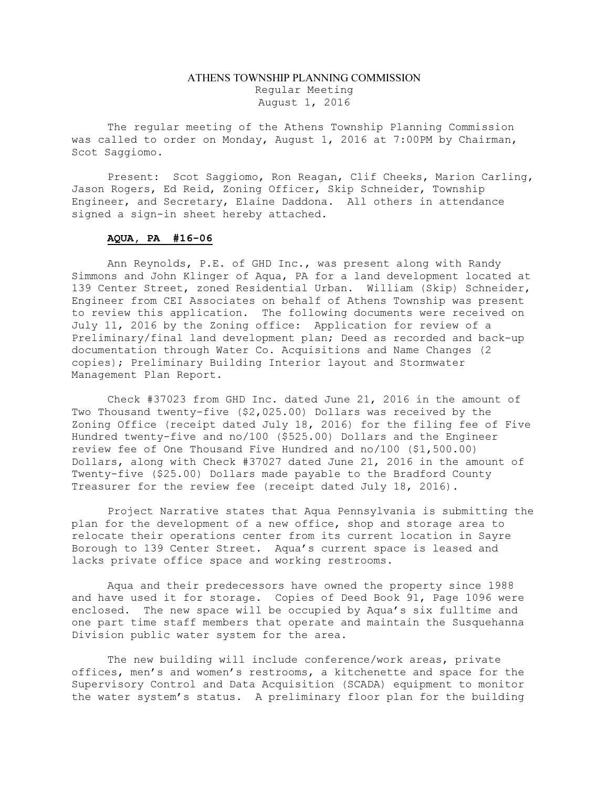## ATHENS TOWNSHIP PLANNING COMMISSION Regular Meeting August 1, 2016

The regular meeting of the Athens Township Planning Commission was called to order on Monday, August 1, 2016 at 7:00PM by Chairman, Scot Saggiomo.

Present: Scot Saggiomo, Ron Reagan, Clif Cheeks, Marion Carling, Jason Rogers, Ed Reid, Zoning Officer, Skip Schneider, Township Engineer, and Secretary, Elaine Daddona. All others in attendance signed a sign-in sheet hereby attached.

## AQUA, PA #16-06

 Ann Reynolds, P.E. of GHD Inc., was present along with Randy Simmons and John Klinger of Aqua, PA for a land development located at 139 Center Street, zoned Residential Urban. William (Skip) Schneider, Engineer from CEI Associates on behalf of Athens Township was present to review this application. The following documents were received on July 11, 2016 by the Zoning office: Application for review of a Preliminary/final land development plan; Deed as recorded and back-up documentation through Water Co. Acquisitions and Name Changes (2 copies); Preliminary Building Interior layout and Stormwater Management Plan Report.

 Check #37023 from GHD Inc. dated June 21, 2016 in the amount of Two Thousand twenty-five (\$2,025.00) Dollars was received by the Zoning Office (receipt dated July 18, 2016) for the filing fee of Five Hundred twenty-five and no/100 (\$525.00) Dollars and the Engineer review fee of One Thousand Five Hundred and no/100 (\$1,500.00) Dollars, along with Check #37027 dated June 21, 2016 in the amount of Twenty-five (\$25.00) Dollars made payable to the Bradford County Treasurer for the review fee (receipt dated July 18, 2016).

 Project Narrative states that Aqua Pennsylvania is submitting the plan for the development of a new office, shop and storage area to relocate their operations center from its current location in Sayre Borough to 139 Center Street. Aqua's current space is leased and lacks private office space and working restrooms.

 Aqua and their predecessors have owned the property since 1988 and have used it for storage. Copies of Deed Book 91, Page 1096 were enclosed. The new space will be occupied by Aqua's six fulltime and one part time staff members that operate and maintain the Susquehanna Division public water system for the area.

 The new building will include conference/work areas, private offices, men's and women's restrooms, a kitchenette and space for the Supervisory Control and Data Acquisition (SCADA) equipment to monitor the water system's status. A preliminary floor plan for the building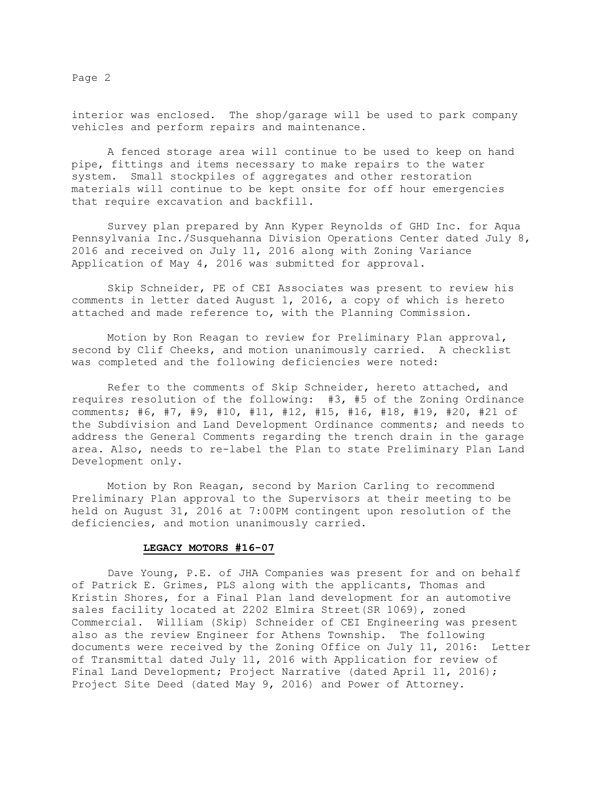Page 2

interior was enclosed. The shop/garage will be used to park company vehicles and perform repairs and maintenance.

 A fenced storage area will continue to be used to keep on hand pipe, fittings and items necessary to make repairs to the water system. Small stockpiles of aggregates and other restoration materials will continue to be kept onsite for off hour emergencies that require excavation and backfill.

 Survey plan prepared by Ann Kyper Reynolds of GHD Inc. for Aqua Pennsylvania Inc./Susquehanna Division Operations Center dated July 8, 2016 and received on July 11, 2016 along with Zoning Variance Application of May 4, 2016 was submitted for approval.

 Skip Schneider, PE of CEI Associates was present to review his comments in letter dated August 1, 2016, a copy of which is hereto attached and made reference to, with the Planning Commission.

 Motion by Ron Reagan to review for Preliminary Plan approval, second by Clif Cheeks, and motion unanimously carried. A checklist was completed and the following deficiencies were noted:

 Refer to the comments of Skip Schneider, hereto attached, and requires resolution of the following: #3, #5 of the Zoning Ordinance comments; #6, #7, #9, #10, #11, #12, #15, #16, #18, #19, #20, #21 of the Subdivision and Land Development Ordinance comments; and needs to address the General Comments regarding the trench drain in the garage area. Also, needs to re-label the Plan to state Preliminary Plan Land Development only.

 Motion by Ron Reagan, second by Marion Carling to recommend Preliminary Plan approval to the Supervisors at their meeting to be held on August 31, 2016 at 7:00PM contingent upon resolution of the deficiencies, and motion unanimously carried.

## LEGACY MOTORS #16-07

 Dave Young, P.E. of JHA Companies was present for and on behalf of Patrick E. Grimes, PLS along with the applicants, Thomas and Kristin Shores, for a Final Plan land development for an automotive sales facility located at 2202 Elmira Street(SR 1069), zoned Commercial. William (Skip) Schneider of CEI Engineering was present also as the review Engineer for Athens Township. The following documents were received by the Zoning Office on July 11, 2016: Letter of Transmittal dated July 11, 2016 with Application for review of Final Land Development; Project Narrative (dated April 11, 2016); Project Site Deed (dated May 9, 2016) and Power of Attorney.